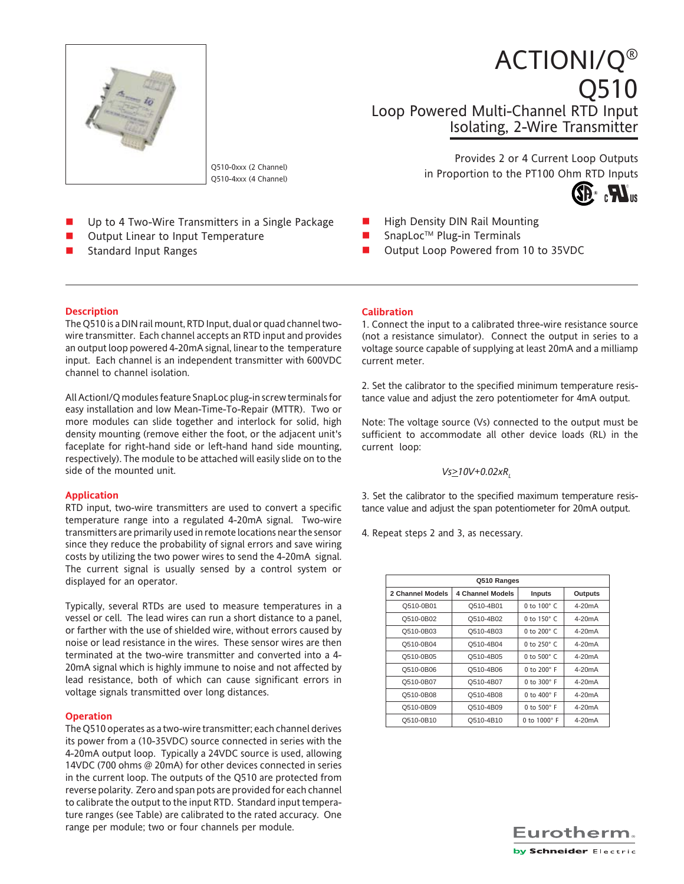

Q510-0xxx (2 Channel) Q510-4xxx (4 Channel)

- Up to 4 Two-Wire Transmitters in a Single Package
- Output Linear to Input Temperature
- Standard Input Ranges

Provides 2 or 4 Current Loop Outputs in Proportion to the PT100 Ohm RTD Inputs

Isolating, 2-Wire Transmitter

Loop Powered Multi-Channel RTD Input

ACTIONI/Q®



Q510

- High Density DIN Rail Mounting
- SnapLoc™ Plug-in Terminals
- Output Loop Powered from 10 to 35VDC

## **Description**

The Q510 is a DIN rail mount, RTD Input, dual or quad channel twowire transmitter. Each channel accepts an RTD input and provides an output loop powered 4-20mA signal, linear to the temperature input. Each channel is an independent transmitter with 600VDC channel to channel isolation.

All ActionI/Q modules feature SnapLoc plug-in screw terminals for easy installation and low Mean-Time-To-Repair (MTTR). Two or more modules can slide together and interlock for solid, high density mounting (remove either the foot, or the adjacent unit's faceplate for right-hand side or left-hand hand side mounting, respectively). The module to be attached will easily slide on to the side of the mounted unit.

# **Application**

RTD input, two-wire transmitters are used to convert a specific temperature range into a regulated 4-20mA signal. Two-wire transmitters are primarily used in remote locations near the sensor since they reduce the probability of signal errors and save wiring costs by utilizing the two power wires to send the 4-20mA signal. The current signal is usually sensed by a control system or displayed for an operator.

Typically, several RTDs are used to measure temperatures in a vessel or cell. The lead wires can run a short distance to a panel, or farther with the use of shielded wire, without errors caused by noise or lead resistance in the wires. These sensor wires are then terminated at the two-wire transmitter and converted into a 4- 20mA signal which is highly immune to noise and not affected by lead resistance, both of which can cause significant errors in voltage signals transmitted over long distances.

## **Operation**

The Q510 operates as a two-wire transmitter; each channel derives its power from a (10-35VDC) source connected in series with the 4-20mA output loop. Typically a 24VDC source is used, allowing 14VDC (700 ohms @ 20mA) for other devices connected in series in the current loop. The outputs of the Q510 are protected from reverse polarity. Zero and span pots are provided for each channel to calibrate the output to the input RTD. Standard input temperature ranges (see Table) are calibrated to the rated accuracy. One range per module; two or four channels per module.

### **Calibration**

1. Connect the input to a calibrated three-wire resistance source (not a resistance simulator). Connect the output in series to a voltage source capable of supplying at least 20mA and a milliamp current meter.

2. Set the calibrator to the specified minimum temperature resistance value and adjust the zero potentiometer for 4mA output.

Note: The voltage source (Vs) connected to the output must be sufficient to accommodate all other device loads (RL) in the current loop:

# $Vs > 10V + 0.02xR$

3. Set the calibrator to the specified maximum temperature resistance value and adjust the span potentiometer for 20mA output.

4. Repeat steps 2 and 3, as necessary.

| Q510 Ranges      |                  |                      |                |  |  |  |
|------------------|------------------|----------------------|----------------|--|--|--|
| 2 Channel Models | 4 Channel Models | Inputs               | <b>Outputs</b> |  |  |  |
| Q510-0B01        | Q510-4B01        | 0 to $100^\circ$ C   | $4-20mA$       |  |  |  |
| Q510-0B02        | Q510-4B02        | 0 to $150^\circ$ C   | $4-20mA$       |  |  |  |
| Q510-0B03        | Q510-4B03        | 0 to $200^\circ$ C   | $4-20mA$       |  |  |  |
| Q510-0B04        | Q510-4B04        | 0 to $250^\circ$ C   | $4-20mA$       |  |  |  |
| Q510-0B05        | Q510-4B05        | 0 to $500^\circ$ C   | $4-20mA$       |  |  |  |
| Q510-0B06        | Q510-4B06        | 0 to 200° F          | $4-20mA$       |  |  |  |
| Q510-0B07        | Q510-4B07        | 0 to $300^\circ$ F   | $4-20mA$       |  |  |  |
| Q510-0B08        | Q510-4B08        | $0$ to $400^\circ$ F | $4-20mA$       |  |  |  |
| Q510-0B09        | Q510-4B09        | $0$ to $500^\circ$ F | $4-20mA$       |  |  |  |
| Q510-0B10        | Q510-4B10        | 0 to 1000° F         | $4-20mA$       |  |  |  |